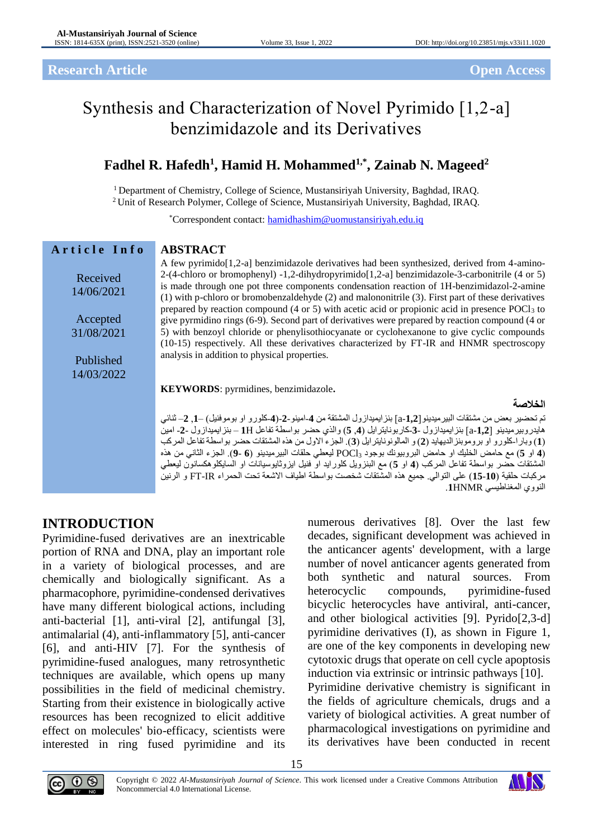#### **Research Article Open Access**

# Synthesis and Characterization of Novel Pyrimido [1,2-a] benzimidazole and its Derivatives

## **Fadhel R. Hafedh<sup>1</sup> , Hamid H. Mohammed1,\*, Zainab N. Mageed<sup>2</sup>**

<sup>1</sup> Department of Chemistry, College of Science, Mustansiriyah University, Baghdad, IRAQ.

<sup>2</sup>Unit of Research Polymer, College of Science, Mustansiriyah University, Baghdad, IRAQ.

\*Correspondent contact: [hamidhashim@uomustansiriyah.edu.iq](mailto:hamidhashim@uomustansiriyah.edu.iq)

| Article Info           | <b>ABSTRACT</b>                                                                                                                                                                                                                                                                                                                                                                                                                                                                                                                                                                                           |
|------------------------|-----------------------------------------------------------------------------------------------------------------------------------------------------------------------------------------------------------------------------------------------------------------------------------------------------------------------------------------------------------------------------------------------------------------------------------------------------------------------------------------------------------------------------------------------------------------------------------------------------------|
| Received<br>14/06/2021 | A few pyrimido [1,2-a] benzimidazole derivatives had been synthesized, derived from 4-amino-<br>2-(4-chloro or bromophenyl) -1,2-dihydropyrimido[1,2-a] benzimidazole-3-carbonitrile (4 or 5)<br>is made through one pot three components condensation reaction of 1H-benzimidazol-2-amine<br>(1) with p-chloro or bromobenzaldehyde (2) and malononitrile (3). First part of these derivatives                                                                                                                                                                                                           |
| Accepted<br>31/08/2021 | prepared by reaction compound (4 or 5) with acetic acid or propionic acid in presence $POCl3$ to<br>give pyrmidino rings (6-9). Second part of derivatives were prepared by reaction compound (4 or<br>5) with benzoyl chloride or phenylisothiocyanate or cyclohexanone to give cyclic compounds                                                                                                                                                                                                                                                                                                         |
| Published              | (10-15) respectively. All these derivatives characterized by FT-IR and HNMR spectroscopy<br>analysis in addition to physical properties.                                                                                                                                                                                                                                                                                                                                                                                                                                                                  |
| 14/03/2022             |                                                                                                                                                                                                                                                                                                                                                                                                                                                                                                                                                                                                           |
|                        | KEYWORDS: pyrmidines, benzimidazole.                                                                                                                                                                                                                                                                                                                                                                                                                                                                                                                                                                      |
|                        | الخلاصة                                                                                                                                                                                                                                                                                                                                                                                                                                                                                                                                                                                                   |
|                        | تم تحضير بعض من مشتقات البير ميدينو [2,1-a] بنز ايميداز ول المشتقة من 4-امينو-2-(4-كلور و او بوموفنيل) —1, 2— ثنائي<br>هايدر وبير ميدينو [1,2] -12] بنز ايميداز ول -3-كار بونايتر ايل (4, 5) والذي حضر  بواسطة تفاعل 1H – بنز ايميداز ول -2- امين<br>(1) وبار الحلورو او بروموبنز الديهايد (2) و المالونونايترايل (3). الجزء الاول من هذه المشتقات حضر بواسطة تفاعل المركب<br>(4 او 5) مع حامض الخليك او حامض البروبيونك بوجود POCl3 ليعطى حلقات البيرميدينو (6 -9). الجزء الثاني من هذه<br>المشتقات حضر بواسطة تفاعل المركب (4 او 5) مع البنزويل كلورايد او فنيل ايزوثايوسيانات او السايكلوهكسانون ليعطي |
|                        | مركبات حلقية (10-15) على التوالي. جميع هذه المشتقات شخصت بواسطة اطياف الاشعة تحت الحمراء FT-IR و الرنين                                                                                                                                                                                                                                                                                                                                                                                                                                                                                                   |
|                        | النووي المغناطيسي 1HNMR.                                                                                                                                                                                                                                                                                                                                                                                                                                                                                                                                                                                  |

## **INTRODUCTION**

Pyrimidine-fused derivatives are an inextricable portion of RNA and DNA, play an important role in a variety of biological processes, and are chemically and biologically significant. As a pharmacophore, pyrimidine-condensed derivatives have many different biological actions, including anti-bacterial [1], anti-viral [2], antifungal [3], antimalarial (4), anti-inflammatory [5], anti-cancer [6], and anti-HIV [7]. For the synthesis of pyrimidine-fused analogues, many retrosynthetic techniques are available, which opens up many possibilities in the field of medicinal chemistry. Starting from their existence in biologically active resources has been recognized to elicit additive effect on molecules' bio-efficacy, scientists were interested in ring fused pyrimidine and its

numerous derivatives [8]. Over the last few decades, significant development was achieved in the anticancer agents' development, with a large number of novel anticancer agents generated from both synthetic and natural sources. From heterocyclic compounds, pyrimidine-fused bicyclic heterocycles have antiviral, anti-cancer, and other biological activities [9]. Pyrido[2,3-d] pyrimidine derivatives (I), as shown in Figure 1, are one of the key components in developing new cytotoxic drugs that operate on cell cycle apoptosis induction via extrinsic or intrinsic pathways [10]. Pyrimidine derivative chemistry is significant in the fields of agriculture chemicals, drugs and a variety of biological activities. A great number of

pharmacological investigations on pyrimidine and its derivatives have been conducted in recent



15

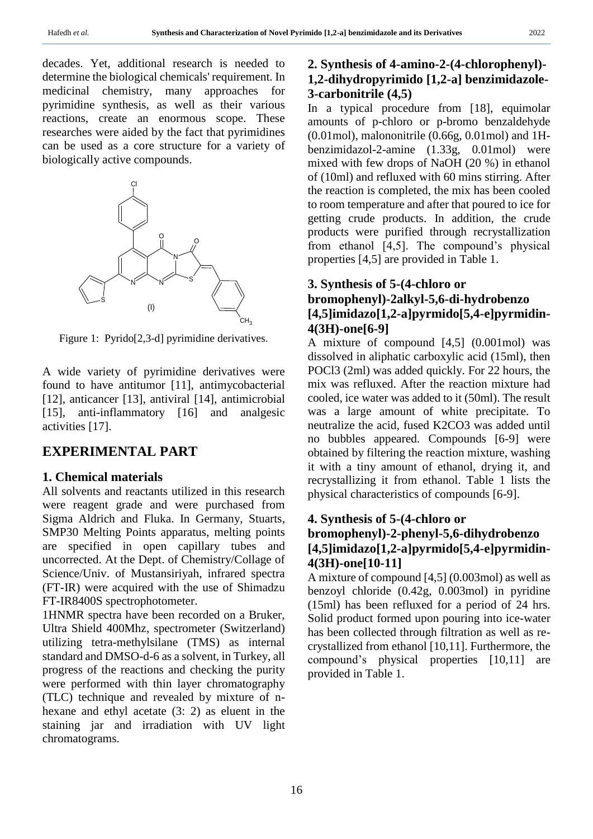decades. Yet, additional research is needed to determine the biological chemicals' requirement. In medicinal chemistry, many approaches for pyrimidine synthesis, as well as their various reactions, create an enormous scope. These researches were aided by the fact that pyrimidines can be used as a core structure for a variety of biologically active compounds.



Figure 1: Pyrido[2,3-d] pyrimidine derivatives.

A wide variety of pyrimidine derivatives were found to have antitumor [11], antimycobacterial [12], anticancer [13], antiviral [14], antimicrobial [15], anti-inflammatory [16] and analgesic activities [17].

## **EXPERIMENTAL PART**

#### **1. Chemical materials**

All solvents and reactants utilized in this research were reagent grade and were purchased from Sigma Aldrich and Fluka. In Germany, Stuarts, SMP30 Melting Points apparatus, melting points are specified in open capillary tubes and uncorrected. At the Dept. of Chemistry/Collage of Science/Univ. of Mustansiriyah, infrared spectra (FT-IR) were acquired with the use of Shimadzu FT-IR8400S spectrophotometer.

1HNMR spectra have been recorded on a Bruker, Ultra Shield 400Mhz, spectrometer (Switzerland) utilizing tetra-methylsilane (TMS) as internal standard and DMSO-d-6 as a solvent, in Turkey, all progress of the reactions and checking the purity were performed with thin layer chromatography (TLC) technique and revealed by mixture of nhexane and ethyl acetate (3: 2) as eluent in the staining jar and irradiation with UV light chromatograms.

## **2. Synthesis of 4-amino-2-(4-chlorophenyl)- 1,2-dihydropyrimido [1,2-a] benzimidazole-3-carbonitrile (4,5)**

In a typical procedure from [18], equimolar amounts of p-chloro or p-bromo benzaldehyde (0.01mol), malononitrile (0.66g, 0.01mol) and 1Hbenzimidazol-2-amine (1.33g, 0.01mol) were mixed with few drops of NaOH (20 %) in ethanol of (10ml) and refluxed with 60 mins stirring. After the reaction is completed, the mix has been cooled to room temperature and after that poured to ice for getting crude products. In addition, the crude products were purified through recrystallization from ethanol [4,5]. The compound's physical properties [4,5] are provided in Table 1.

### **3. Synthesis of 5-(4-chloro or bromophenyl)-2alkyl-5,6-di-hydrobenzo**

## **[4,5]imidazo[1,2-a]pyrmido[5,4-e]pyrmidin-4(3H)-one[6-9]**

A mixture of compound [4,5] (0.001mol) was dissolved in aliphatic carboxylic acid (15ml), then POCl3 (2ml) was added quickly. For 22 hours, the mix was refluxed. After the reaction mixture had cooled, ice water was added to it (50ml). The result was a large amount of white precipitate. To neutralize the acid, fused K2CO3 was added until no bubbles appeared. Compounds [6-9] were obtained by filtering the reaction mixture, washing it with a tiny amount of ethanol, drying it, and recrystallizing it from ethanol. Table 1 lists the physical characteristics of compounds [6-9].

#### **4. Synthesis of 5-(4-chloro or**

### **bromophenyl)-2-phenyl-5,6-dihydrobenzo [4,5]imidazo[1,2-a]pyrmido[5,4-e]pyrmidin-4(3H)-one[10-11]**

A mixture of compound [4,5] (0.003mol) as well as benzoyl chloride (0.42g, 0.003mol) in pyridine (15ml) has been refluxed for a period of 24 hrs. Solid product formed upon pouring into ice-water has been collected through filtration as well as recrystallized from ethanol [10,11]. Furthermore, the compound's physical properties [10,11] are provided in Table 1.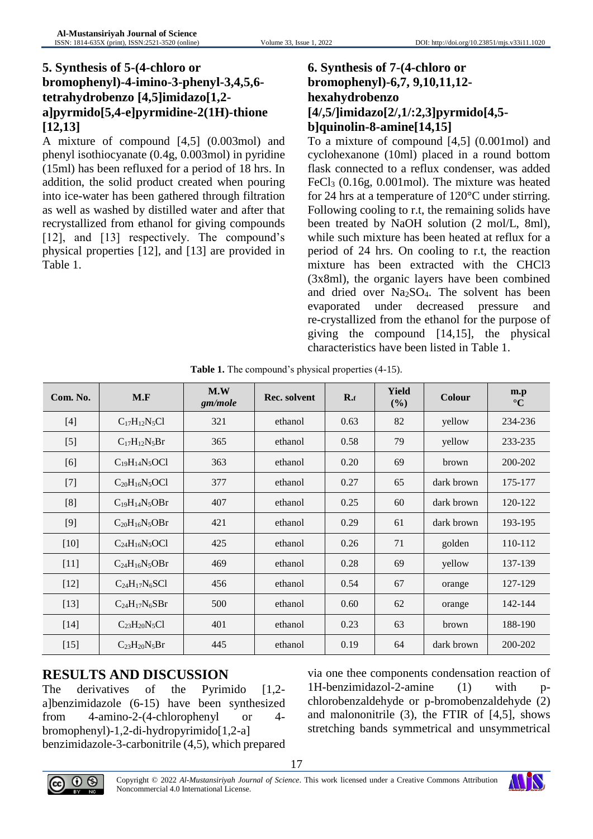## **5. Synthesis of 5-(4-chloro or bromophenyl)-4-imino-3-phenyl-3,4,5,6 tetrahydrobenzo [4,5]imidazo[1,2 a]pyrmido[5,4-e]pyrmidine-2(1H)-thione [12,13]**

A mixture of compound [4,5] (0.003mol) and phenyl isothiocyanate (0.4g, 0.003mol) in pyridine (15ml) has been refluxed for a period of 18 hrs. In addition, the solid product created when pouring into ice-water has been gathered through filtration as well as washed by distilled water and after that recrystallized from ethanol for giving compounds [12], and [13] respectively. The compound's physical properties [12], and [13] are provided in Table 1.

## **6. Synthesis of 7-(4-chloro or bromophenyl)-6,7, 9,10,11,12 hexahydrobenzo [4/,5/]imidazo[2/,1/:2,3]pyrmido[4,5 b]quinolin-8-amine[14,15]**

To a mixture of compound [4,5] (0.001mol) and cyclohexanone (10ml) placed in a round bottom flask connected to a reflux condenser, was added FeCl<sub>3</sub> (0.16g, 0.001mol). The mixture was heated for 24 hrs at a temperature of 120°C under stirring. Following cooling to r.t, the remaining solids have been treated by NaOH solution (2 mol/L, 8ml), while such mixture has been heated at reflux for a period of 24 hrs. On cooling to r.t, the reaction mixture has been extracted with the CHCl3 (3x8ml), the organic layers have been combined and dried over Na2SO4. The solvent has been evaporated under decreased pressure and re-crystallized from the ethanol for the purpose of giving the compound [14,15], the physical characteristics have been listed in Table 1.

| Com. No. | M.F                  | M.W<br>gm/mole | Rec. solvent | $R_{\cdot f}$ | <b>Yield</b><br>(%) | <b>Colour</b> | m.p<br>$\rm ^{\circ}C$ |
|----------|----------------------|----------------|--------------|---------------|---------------------|---------------|------------------------|
| $[4]$    | $C_{17}H_{12}N_5Cl$  | 321            | ethanol      | 0.63          | 82                  | yellow        | 234-236                |
| $[5]$    | $C_{17}H_{12}N_5Br$  | 365            | ethanol      | 0.58          | 79                  | yellow        | 233-235                |
| [6]      | $C_{19}H_{14}N_5OCl$ | 363            | ethanol      | 0.20          | 69                  | brown         | 200-202                |
| $[7]$    | $C_{20}H_{16}N_5OCl$ | 377            | ethanol      | 0.27          | 65                  | dark brown    | 175-177                |
| [8]      | $C_{19}H_{14}N_5OBr$ | 407            | ethanol      | 0.25          | 60                  | dark brown    | 120-122                |
| $[9]$    | $C_{20}H_{16}N_5OBr$ | 421            | ethanol      | 0.29          | 61                  | dark brown    | 193-195                |
| $[10]$   | $C_{24}H_{16}N_5OCl$ | 425            | ethanol      | 0.26          | 71                  | golden        | 110-112                |
| $[11]$   | $C_{24}H_{16}N_5OBr$ | 469            | ethanol      | 0.28          | 69                  | yellow        | 137-139                |
| $[12]$   | $C_{24}H_{17}N_6SC1$ | 456            | ethanol      | 0.54          | 67                  | orange        | 127-129                |
| $[13]$   | $C_{24}H_{17}N_6SBr$ | 500            | ethanol      | 0.60          | 62                  | orange        | 142-144                |
| $[14]$   | $C_{23}H_{20}N_5Cl$  | 401            | ethanol      | 0.23          | 63                  | brown         | 188-190                |
| $[15]$   | $C_{23}H_{20}N_5Br$  | 445            | ethanol      | 0.19          | 64                  | dark brown    | 200-202                |

| Table 1. The compound's physical properties (4-15). |  |  |
|-----------------------------------------------------|--|--|
|                                                     |  |  |

## **RESULTS AND DISCUSSION**

The derivatives of the Pyrimido [1,2a]benzimidazole (6-15) have been synthesized from 4-amino-2-(4-chlorophenyl or 4 bromophenyl)-1,2-di-hydropyrimido[1,2-a] benzimidazole-3-carbonitrile (4,5), which prepared via one thee components condensation reaction of  $1H$ -benzimidazol-2-amine  $(1)$  with chlorobenzaldehyde or p-bromobenzaldehyde (2) and malononitrile (3), the FTIR of [4,5], shows stretching bands symmetrical and unsymmetrical



17

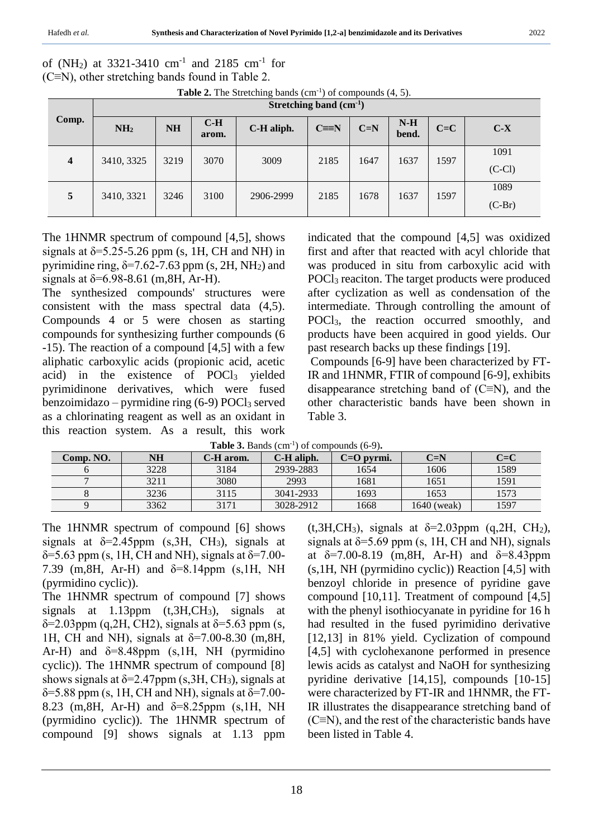of (NH<sub>2</sub>) at 3321-3410 cm<sup>-1</sup> and 2185 cm<sup>-1</sup> for (C≡N), other stretching bands found in Table 2.

| <b>Table 2.</b> The Stretching bands $(cm^{-1})$ of compounds $(4, 5)$ . |  |  |  |  |
|--------------------------------------------------------------------------|--|--|--|--|
|--------------------------------------------------------------------------|--|--|--|--|

|                  | Stretching band $(cm-1)$ |           |                |            |              |       |                |         |                  |  |
|------------------|--------------------------|-----------|----------------|------------|--------------|-------|----------------|---------|------------------|--|
| Comp.            | NH <sub>2</sub>          | <b>NH</b> | $C-H$<br>arom. | C-H aliph. | $C \equiv N$ | $C=N$ | $N-H$<br>bend. | $C = C$ | $C-X$            |  |
| $\boldsymbol{4}$ | 3410, 3325               | 3219      | 3070           | 3009       | 2185         | 1647  | 1637           | 1597    | 1091<br>$(C-Cl)$ |  |
| 5                | 3410, 3321               | 3246      | 3100           | 2906-2999  | 2185         | 1678  | 1637           | 1597    | 1089<br>$(C-Br)$ |  |

The 1HNMR spectrum of compound [4,5], shows signals at  $\delta$ =5.25-5.26 ppm (s, 1H, CH and NH) in pyrimidine ring,  $\delta$ =7.62-7.63 ppm (s, 2H, NH<sub>2</sub>) and signals at  $\delta$ =6.98-8.61 (m, 8H, Ar-H).

The synthesized compounds' structures were consistent with the mass spectral data (4,5). Compounds 4 or 5 were chosen as starting compounds for synthesizing further compounds (6 -15). The reaction of a compound [4,5] with a few aliphatic carboxylic acids (propionic acid, acetic acid) in the existence of POCl<sup>3</sup> yielded pyrimidinone derivatives, which were fused benzoimidazo – pyrmidine ring  $(6-9)$  POCl<sub>3</sub> served as a chlorinating reagent as well as an oxidant in this reaction system. As a result, this work indicated that the compound [4,5] was oxidized first and after that reacted with acyl chloride that was produced in situ from carboxylic acid with POCl<sub>3</sub> reaciton. The target products were produced after cyclization as well as condensation of the intermediate. Through controlling the amount of POCl3, the reaction occurred smoothly, and products have been acquired in good yields. Our past research backs up these findings [19].

Compounds [6-9] have been characterized by FT-IR and 1HNMR, FTIR of compound [6-9], exhibits disappearance stretching band of  $(C \equiv N)$ , and the other characteristic bands have been shown in Table 3.

| <b>Table 3.</b> Bands $(cm-1)$ of compounds $(6-9)$ . |  |  |
|-------------------------------------------------------|--|--|
|-------------------------------------------------------|--|--|

|           | Tunic of Dunus (Cili<br>, от соппосина, го эн |           |            |                |             |         |  |  |  |  |
|-----------|-----------------------------------------------|-----------|------------|----------------|-------------|---------|--|--|--|--|
| Comp. NO. | NH                                            | C-H arom. | C-H aliph. | $C = O$ pyrmi. | $C=N$       | $C = C$ |  |  |  |  |
|           | 3228                                          | 3184      | 2939-2883  | 1654           | 1606        | 1589    |  |  |  |  |
|           | 3211                                          | 3080      | 2993       | 1681           | 1651        | 1591    |  |  |  |  |
|           | 3236                                          | 3115      | 3041-2933  | 1693           | 1653        | 1573    |  |  |  |  |
|           | 3362                                          | 3171      | 3028-2912  | 1668           | 1640 (weak) | 1597    |  |  |  |  |

The 1HNMR spectrum of compound [6] shows signals at  $\delta$ =2.45ppm (s, 3H, CH<sub>3</sub>), signals at  $\delta$ =5.63 ppm (s, 1H, CH and NH), signals at  $\delta$ =7.00-7.39 (m,8H, Ar-H) and δ=8.14ppm (s,1H, NH (pyrmidino cyclic)).

The 1HNMR spectrum of compound [7] shows signals at 1.13ppm (t,3H,CH3), signals at  $\delta$ =2.03ppm (q,2H, CH2), signals at  $\delta$ =5.63 ppm (s, 1H, CH and NH), signals at  $\delta = 7.00 - 8.30$  (m, 8H, Ar-H) and  $\delta = 8.48$ ppm (s, 1H, NH (pyrmidino cyclic)). The 1HNMR spectrum of compound [8] shows signals at  $\delta$ =2.47ppm (s, 3H, CH<sub>3</sub>), signals at  $\delta$ =5.88 ppm (s, 1H, CH and NH), signals at  $\delta$ =7.00-8.23 (m, 8H, Ar-H) and  $\delta = 8.25$  ppm (s, 1H, NH (pyrmidino cyclic)). The 1HNMR spectrum of compound [9] shows signals at 1.13 ppm

(t,3H,CH<sub>3</sub>), signals at  $\delta$ =2.03ppm (q,2H, CH<sub>2</sub>), signals at  $\delta$ =5.69 ppm (s, 1H, CH and NH), signals at  $\delta = 7.00 - 8.19$  (m, 8H, Ar-H) and  $\delta = 8.43$ ppm (s,1H, NH (pyrmidino cyclic)) Reaction [4,5] with benzoyl chloride in presence of pyridine gave compound [10,11]. Treatment of compound [4,5] with the phenyl isothiocyanate in pyridine for 16 h had resulted in the fused pyrimidino derivative [12,13] in 81% yield. Cyclization of compound [4,5] with cyclohexanone performed in presence lewis acids as catalyst and NaOH for synthesizing pyridine derivative [14,15], compounds [10-15] were characterized by FT-IR and 1HNMR, the FT-IR illustrates the disappearance stretching band of (C≡N), and the rest of the characteristic bands have been listed in Table 4.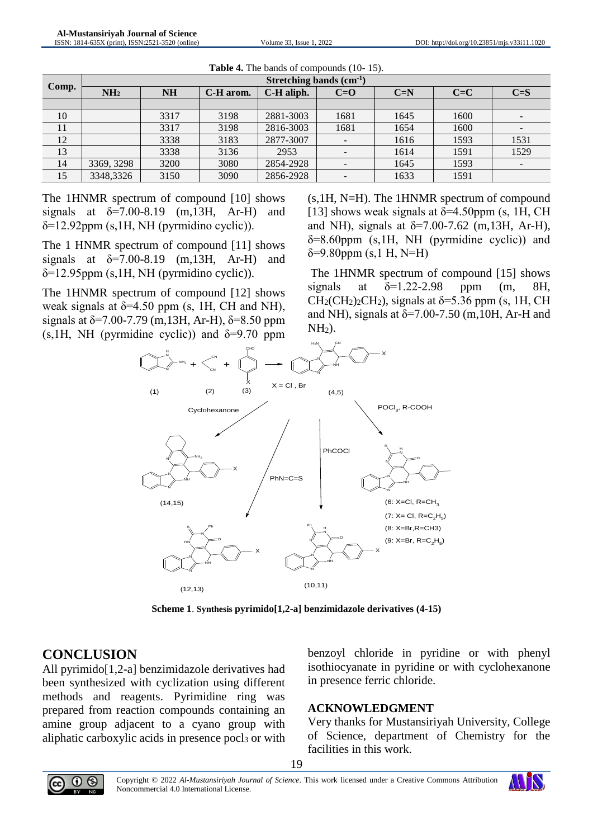|       | Stretching bands $(cm1)$ |           |           |            |       |       |       |                          |  |  |  |
|-------|--------------------------|-----------|-----------|------------|-------|-------|-------|--------------------------|--|--|--|
| Comp. | NH <sub>2</sub>          | <b>NH</b> | C-H arom. | C-H aliph. | $C=O$ | $C=N$ | $C=C$ | $C = S$                  |  |  |  |
|       |                          |           |           |            |       |       |       |                          |  |  |  |
| 10    |                          | 3317      | 3198      | 2881-3003  | 1681  | 1645  | 1600  | $\qquad \qquad -$        |  |  |  |
| 11    |                          | 3317      | 3198      | 2816-3003  | 1681  | 1654  | 1600  |                          |  |  |  |
| 12    |                          | 3338      | 3183      | 2877-3007  |       | 1616  | 1593  | 1531                     |  |  |  |
| 13    |                          | 3338      | 3136      | 2953       |       | 1614  | 1591  | 1529                     |  |  |  |
| 14    | 3369, 3298               | 3200      | 3080      | 2854-2928  |       | 1645  | 1593  | $\overline{\phantom{a}}$ |  |  |  |
| 15    | 3348,3326                | 3150      | 3090      | 2856-2928  |       | 1633  | 1591  |                          |  |  |  |

| Table 4. The bands of compounds (10-15). |  |  |  |
|------------------------------------------|--|--|--|
|                                          |  |  |  |

The 1HNMR spectrum of compound [10] shows signals at  $\delta = 7.00 - 8.19$  (m, 13H, Ar-H) and  $\delta$ =12.92ppm (s,1H, NH (pyrmidino cyclic)).

The 1 HNMR spectrum of compound [11] shows signals at  $\delta = 7.00 - 8.19$  (m, 13H, Ar-H) and  $\delta$ =12.95ppm (s,1H, NH (pyrmidino cyclic)).

The 1HNMR spectrum of compound [12] shows weak signals at  $\delta$ =4.50 ppm (s, 1H, CH and NH), signals at  $\delta$ =7.00-7.79 (m,13H, Ar-H),  $\delta$ =8.50 ppm (s, 1H, NH (pyrmidine cyclic)) and  $\delta = 9.70$  ppm

(s,1H, N=H). The 1HNMR spectrum of compound [13] shows weak signals at  $\delta$ =4.50ppm (s, 1H, CH and NH), signals at  $\delta = 7.00 - 7.62$  (m, 13H, Ar-H),  $\delta$ =8.60ppm (s,1H, NH (pyrmidine cyclic)) and  $\delta$ =9.80ppm (s,1 H, N=H)

The 1HNMR spectrum of compound [15] shows signals at  $\delta$ =1.22-2.98 ppm (m, 8H,  $CH<sub>2</sub>(CH<sub>2</sub>)<sub>2</sub>CH<sub>2</sub>$ , signals at  $\delta$ =5.36 ppm (s, 1H, CH and NH), signals at  $\delta$ =7.00-7.50 (m,10H, Ar-H and  $NH<sub>2</sub>$ ).



**Scheme 1**. **Synthesis pyrimido[1,2-a] benzimidazole derivatives (4-15)**

## **CONCLUSION**

All pyrimido[1,2-a] benzimidazole derivatives had been synthesized with cyclization using different methods and reagents. Pyrimidine ring was prepared from reaction compounds containing an amine group adjacent to a cyano group with aliphatic carboxylic acids in presence pocl<sub>3</sub> or with

benzoyl chloride in pyridine or with phenyl isothiocyanate in pyridine or with cyclohexanone in presence ferric chloride.

### **ACKNOWLEDGMENT**

Very thanks for Mustansiriyah University, College of Science, department of Chemistry for the facilities in this work.



19